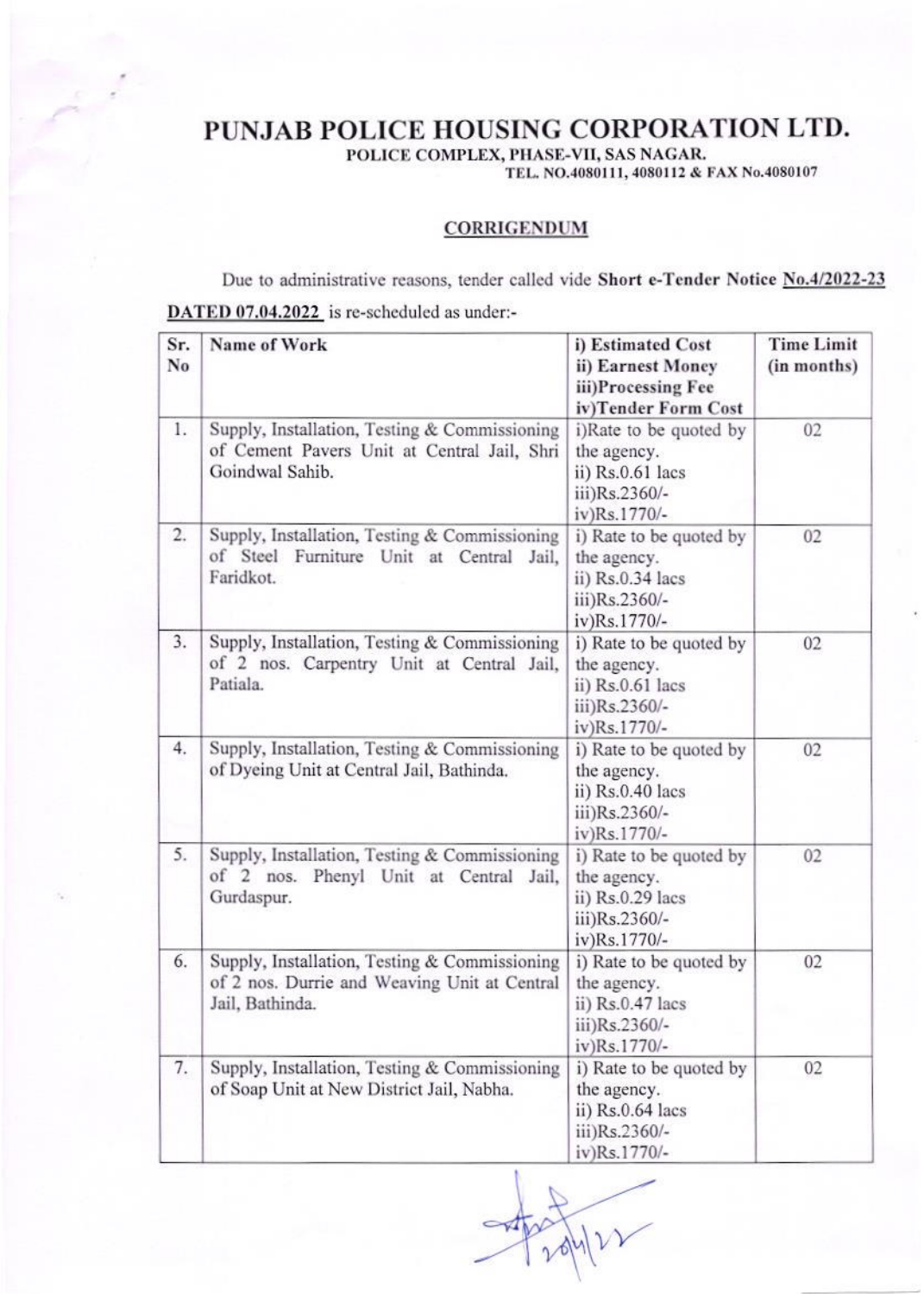PUNJAB POLICE HOUSING CORPORATION LTD.

POLICE COMPLEX, PHASE-VII, SAS NAGAR.

TEL. NO.4080111, 4080112 & FAX No.4080107

## **CORRIGENDUM**

Due to administrative reasons, tender called vide Short e-Tender Notice No.4/2022-23 DATED 07.04.2022 is re-scheduled as under:-

| Sr.<br>No | Name of Work                                                                                                     | i) Estimated Cost<br>ii) Earnest Money<br>iii)Processing Fee<br>iv)Tender Form Cost         | <b>Time Limit</b><br>(in months) |
|-----------|------------------------------------------------------------------------------------------------------------------|---------------------------------------------------------------------------------------------|----------------------------------|
| 1.        | Supply, Installation, Testing & Commissioning<br>of Cement Pavers Unit at Central Jail, Shri<br>Goindwal Sahib.  | i)Rate to be quoted by<br>the agency.<br>ii) Rs.0.61 lacs<br>iii)Rs.2360/-<br>iv)Rs.1770/-  | 02                               |
| 2.        | Supply, Installation, Testing & Commissioning<br>of Steel Furniture Unit at Central Jail,<br>Faridkot.           | i) Rate to be quoted by<br>the agency.<br>ii) Rs.0.34 lacs<br>iii)Rs.2360/-<br>iv)Rs.1770/- | 02                               |
| 3.        | Supply, Installation, Testing & Commissioning<br>of 2 nos. Carpentry Unit at Central Jail,<br>Patiala.           | i) Rate to be quoted by<br>the agency.<br>ii) Rs.0.61 lacs<br>iii)Rs.2360/-<br>iv)Rs.1770/- | 02                               |
| 4.        | Supply, Installation, Testing & Commissioning<br>of Dyeing Unit at Central Jail, Bathinda.                       | i) Rate to be quoted by<br>the agency.<br>ii) Rs.0.40 lacs<br>iii)Rs.2360/-<br>iv)Rs.1770/- | 02                               |
| 5.        | Supply, Installation, Testing & Commissioning<br>of 2 nos. Phenyl Unit at Central Jail,<br>Gurdaspur.            | i) Rate to be quoted by<br>the agency.<br>ii) Rs.0.29 lacs<br>iii)Rs.2360/-<br>iv)Rs.1770/- | 02                               |
| 6.        | Supply, Installation, Testing & Commissioning<br>of 2 nos. Durrie and Weaving Unit at Central<br>Jail, Bathinda. | i) Rate to be quoted by<br>the agency.<br>ii) Rs.0.47 lacs<br>iii)Rs.2360/-<br>iv)Rs.1770/- | 02                               |
| 7.        | Supply, Installation, Testing & Commissioning<br>of Soap Unit at New District Jail, Nabha.                       | i) Rate to be quoted by<br>the agency.<br>ii) Rs.0.64 lacs<br>iii)Rs.2360/-<br>iv)Rs.1770/- | 02                               |

Julier